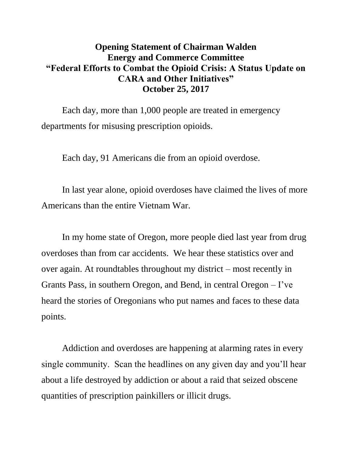## **Opening Statement of Chairman Walden Energy and Commerce Committee "Federal Efforts to Combat the Opioid Crisis: A Status Update on CARA and Other Initiatives" October 25, 2017**

Each day, more than 1,000 people are treated in emergency departments for misusing prescription opioids.

Each day, 91 Americans die from an opioid overdose.

In last year alone, opioid overdoses have claimed the lives of more Americans than the entire Vietnam War.

In my home state of Oregon, more people died last year from drug overdoses than from car accidents. We hear these statistics over and over again. At roundtables throughout my district – most recently in Grants Pass, in southern Oregon, and Bend, in central Oregon – I've heard the stories of Oregonians who put names and faces to these data points.

Addiction and overdoses are happening at alarming rates in every single community. Scan the headlines on any given day and you'll hear about a life destroyed by addiction or about a raid that seized obscene quantities of prescription painkillers or illicit drugs.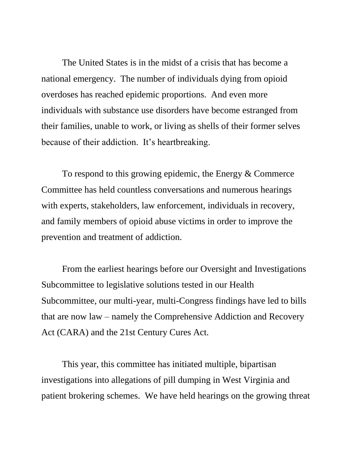The United States is in the midst of a crisis that has become a national emergency. The number of individuals dying from opioid overdoses has reached epidemic proportions. And even more individuals with substance use disorders have become estranged from their families, unable to work, or living as shells of their former selves because of their addiction. It's heartbreaking.

To respond to this growing epidemic, the Energy & Commerce Committee has held countless conversations and numerous hearings with experts, stakeholders, law enforcement, individuals in recovery, and family members of opioid abuse victims in order to improve the prevention and treatment of addiction.

From the earliest hearings before our Oversight and Investigations Subcommittee to legislative solutions tested in our Health Subcommittee, our multi-year, multi-Congress findings have led to bills that are now law – namely the Comprehensive Addiction and Recovery Act (CARA) and the 21st Century Cures Act.

This year, this committee has initiated multiple, bipartisan investigations into allegations of pill dumping in West Virginia and patient brokering schemes. We have held hearings on the growing threat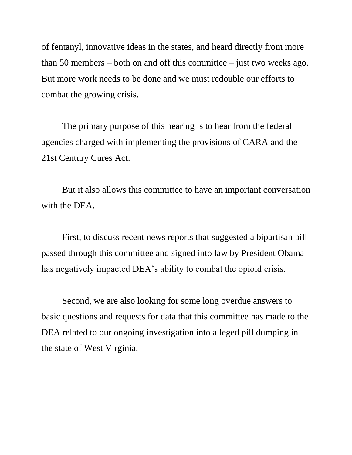of fentanyl, innovative ideas in the states, and heard directly from more than 50 members – both on and off this committee – just two weeks ago. But more work needs to be done and we must redouble our efforts to combat the growing crisis.

The primary purpose of this hearing is to hear from the federal agencies charged with implementing the provisions of CARA and the 21st Century Cures Act.

But it also allows this committee to have an important conversation with the DEA.

First, to discuss recent news reports that suggested a bipartisan bill passed through this committee and signed into law by President Obama has negatively impacted DEA's ability to combat the opioid crisis.

Second, we are also looking for some long overdue answers to basic questions and requests for data that this committee has made to the DEA related to our ongoing investigation into alleged pill dumping in the state of West Virginia.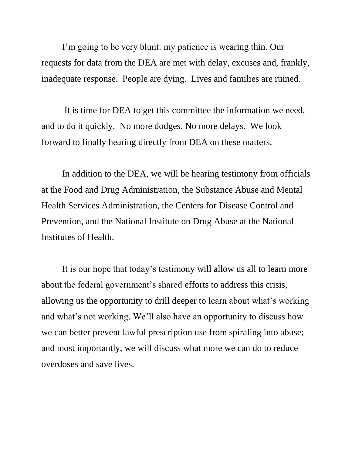I'm going to be very blunt: my patience is wearing thin. Our requests for data from the DEA are met with delay, excuses and, frankly, inadequate response. People are dying. Lives and families are ruined.

It is time for DEA to get this committee the information we need, and to do it quickly. No more dodges. No more delays. We look forward to finally hearing directly from DEA on these matters.

In addition to the DEA, we will be hearing testimony from officials at the Food and Drug Administration, the Substance Abuse and Mental Health Services Administration, the Centers for Disease Control and Prevention, and the National Institute on Drug Abuse at the National Institutes of Health.

It is our hope that today's testimony will allow us all to learn more about the federal government's shared efforts to address this crisis, allowing us the opportunity to drill deeper to learn about what's working and what's not working. We'll also have an opportunity to discuss how we can better prevent lawful prescription use from spiraling into abuse; and most importantly, we will discuss what more we can do to reduce overdoses and save lives.